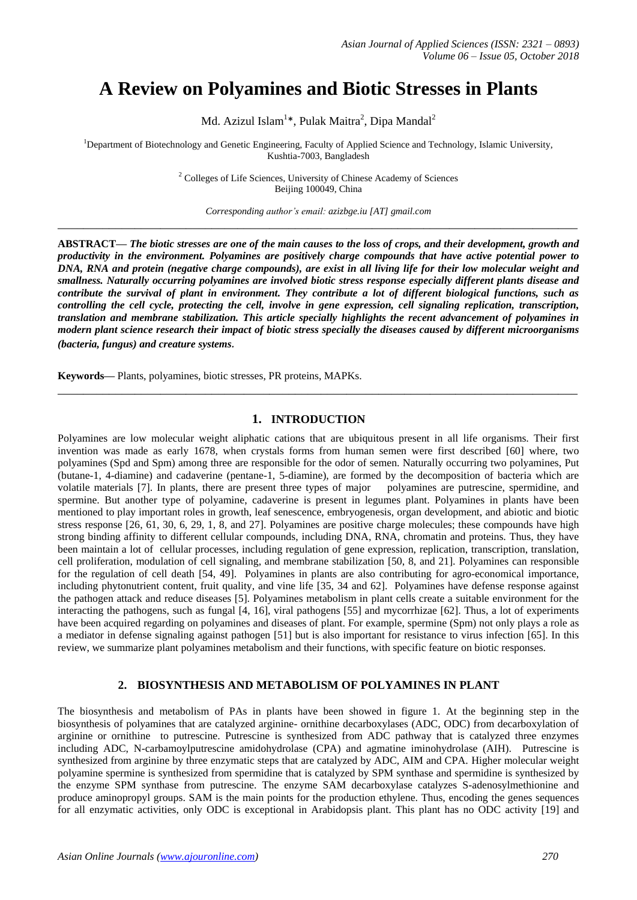# **A Review on Polyamines and Biotic Stresses in Plants**

Md. Azizul Islam $^{1*}$ , Pulak Maitra $^{2}$ , Dipa Mandal $^{2}$ 

<sup>1</sup>Department of Biotechnology and Genetic Engineering, Faculty of Applied Science and Technology, Islamic University, Kushtia-7003, Bangladesh

> <sup>2</sup> Colleges of Life Sciences, University of Chinese Academy of Sciences Beijing 100049, China

*Corresponding author's email: azizbge.iu [AT] gmail.com* **\_\_\_\_\_\_\_\_\_\_\_\_\_\_\_\_\_\_\_\_\_\_\_\_\_\_\_\_\_\_\_\_\_\_\_\_\_\_\_\_\_\_\_\_\_\_\_\_\_\_\_\_\_\_\_\_\_\_\_\_\_\_\_\_\_\_\_\_\_\_\_\_\_\_\_\_\_\_\_\_\_**

**ABSTRACT—** *The biotic stresses are one of the main causes to the loss of crops, and their development, growth and productivity in the environment. Polyamines are positively charge compounds that have active potential power to DNA, RNA and protein (negative charge compounds), are exist in all living life for their low molecular weight and smallness. Naturally occurring polyamines are involved biotic stress response especially different plants disease and contribute the survival of plant in environment. They contribute a lot of different biological functions, such as controlling the cell cycle, protecting the cell, involve in gene expression, cell signaling replication, transcription, translation and membrane stabilization. This article specially highlights the recent advancement of polyamines in modern plant science research their impact of biotic stress specially the diseases caused by different microorganisms (bacteria, fungus) and creature systems.*

**Keywords—** Plants, polyamines, biotic stresses, PR proteins, MAPKs.

## **1. INTRODUCTION**

**\_\_\_\_\_\_\_\_\_\_\_\_\_\_\_\_\_\_\_\_\_\_\_\_\_\_\_\_\_\_\_\_\_\_\_\_\_\_\_\_\_\_\_\_\_\_\_\_\_\_\_\_\_\_\_\_\_\_\_\_\_\_\_\_\_\_\_\_\_\_\_\_\_\_\_\_\_\_\_\_\_**

Polyamines are low molecular weight aliphatic cations that are ubiquitous present in all life organisms. Their first invention was made as early 1678, when crystals forms from human semen were first described [60] where, two polyamines (Spd and Spm) among three are responsible for the odor of semen. Naturally occurring two polyamines, Put (butane-1, 4-diamine) and cadaverine (pentane-1, 5-diamine), are formed by the decomposition of bacteria which are volatile materials [7]. In plants, there are present three types of major polyamines are putrescine, spermidine, and spermine. But another type of polyamine, cadaverine is present in legumes plant. Polyamines in plants have been mentioned to play important roles in growth, leaf senescence, embryogenesis, organ development, and abiotic and biotic stress response [26, 61, 30, 6, 29, 1, 8, and 27]. Polyamines are positive charge molecules; these compounds have high strong binding affinity to different cellular compounds, including DNA, RNA, chromatin and proteins. Thus, they have been maintain a lot of cellular processes, including regulation of gene expression, replication, transcription, translation, cell proliferation, modulation of cell signaling, and membrane stabilization [50, 8, and 21]. Polyamines can responsible for the regulation of cell death [54, 49]. Polyamines in plants are also contributing for agro-economical importance, including phytonutrient content, fruit quality, and vine life [35, 34 and 62]. Polyamines have defense response against the pathogen attack and reduce diseases [5]. Polyamines metabolism in plant cells create a suitable environment for the interacting the pathogens, such as fungal [4, 16], viral pathogens [55] and mycorrhizae [62]. Thus, a lot of experiments have been acquired regarding on polyamines and diseases of plant. For example, spermine (Spm) not only plays a role as a mediator in defense signaling against pathogen [51] but is also important for resistance to virus infection [65]. In this review, we summarize plant polyamines metabolism and their functions, with specific feature on biotic responses.

### **2. BIOSYNTHESIS AND METABOLISM OF POLYAMINES IN PLANT**

The biosynthesis and metabolism of PAs in plants have been showed in figure 1. At the beginning step in the biosynthesis of polyamines that are catalyzed arginine- ornithine decarboxylases (ADC, ODC) from decarboxylation of arginine or ornithine to putrescine. Putrescine is synthesized from ADC pathway that is catalyzed three enzymes including ADC, N-carbamoylputrescine amidohydrolase (CPA) and agmatine iminohydrolase (AIH). Putrescine is synthesized from arginine by three enzymatic steps that are catalyzed by ADC, AIM and CPA. Higher molecular weight polyamine spermine is synthesized from spermidine that is catalyzed by SPM synthase and spermidine is synthesized by the enzyme SPM synthase from putrescine. The enzyme SAM decarboxylase catalyzes S-adenosylmethionine and produce aminopropyl groups. SAM is the main points for the production ethylene. Thus, encoding the genes sequences for all enzymatic activities, only ODC is exceptional in Arabidopsis plant. This plant has no ODC activity [19] and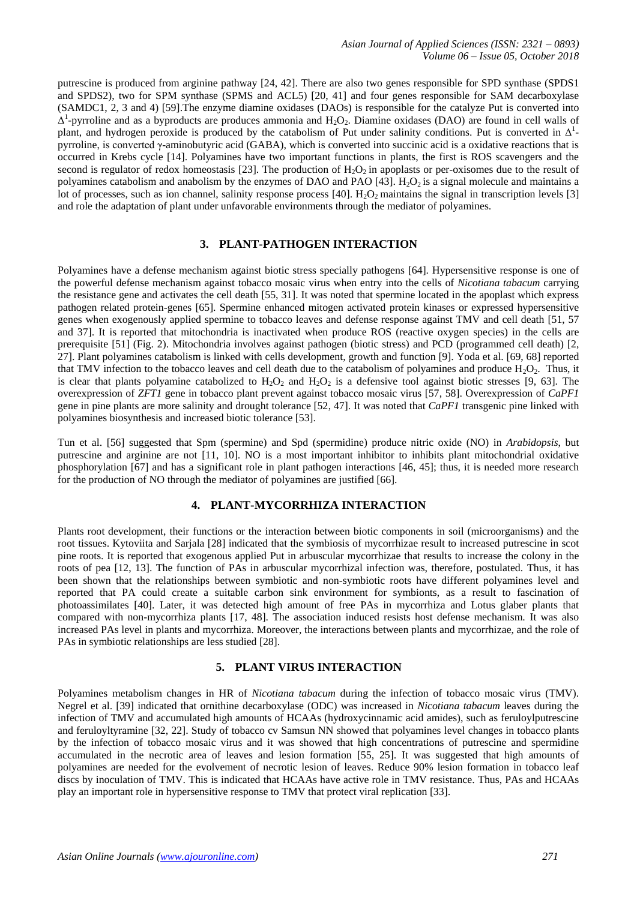putrescine is produced from arginine pathway [24, 42]. There are also two genes responsible for SPD synthase (SPDS1 and SPDS2), two for SPM synthase (SPMS and ACL5) [20, 41] and four genes responsible for SAM decarboxylase (SAMDC1, 2, 3 and 4) [59].The enzyme diamine oxidases (DAOs) is responsible for the catalyze Put is converted into  $\Delta^1$ -pyrroline and as a byproducts are produces ammonia and  $H_2O_2$ . Diamine oxidases (DAO) are found in cell walls of plant, and hydrogen peroxide is produced by the catabolism of Put under salinity conditions. Put is converted in  $\Delta^1$ pyrroline, is converted γ-aminobutyric acid (GABA), which is converted into succinic acid is a oxidative reactions that is occurred in Krebs cycle [14]. Polyamines have two important functions in plants, the first is ROS scavengers and the second is regulator of redox homeostasis [23]. The production of  $H_2O_2$  in apoplasts or per-oxisomes due to the result of polyamines catabolism and anabolism by the enzymes of DAO and PAO [43].  $H_2O_2$  is a signal molecule and maintains a lot of processes, such as ion channel, salinity response process [40]. H<sub>2</sub>O<sub>2</sub> maintains the signal in transcription levels [3] and role the adaptation of plant under unfavorable environments through the mediator of polyamines.

## **3. PLANT-PATHOGEN INTERACTION**

Polyamines have a defense mechanism against biotic stress specially pathogens [64]. Hypersensitive response is one of the powerful defense mechanism against tobacco mosaic virus when entry into the cells of *Nicotiana tabacum* carrying the resistance gene and activates the cell death [55, 31]. It was noted that spermine located in the apoplast which express pathogen related protein-genes [65]. Spermine enhanced mitogen activated protein kinases or expressed hypersensitive genes when exogenously applied spermine to tobacco leaves and defense response against TMV and cell death [51, 57 and 37]. It is reported that mitochondria is inactivated when produce ROS (reactive oxygen species) in the cells are prerequisite [51] (Fig. 2). Mitochondria involves against pathogen (biotic stress) and PCD (programmed cell death) [2, 27]. Plant polyamines catabolism is linked with cells development, growth and function [9]. Yoda et al. [69, 68] reported that TMV infection to the tobacco leaves and cell death due to the catabolism of polyamines and produce  $H_2O_2$ . Thus, it is clear that plants polyamine catabolized to  $H_2O_2$  and  $H_2O_2$  is a defensive tool against biotic stresses [9, 63]. The overexpression of *ZFT1* gene in tobacco plant prevent against tobacco mosaic virus [57, 58]. Overexpression of *CaPF1* gene in pine plants are more salinity and drought tolerance [52, 47]. It was noted that *CaPF1* transgenic pine linked with polyamines biosynthesis and increased biotic tolerance [53].

Tun et al. [56] suggested that Spm (spermine) and Spd (spermidine) produce nitric oxide (NO) in *Arabidopsis*, but putrescine and arginine are not [11, 10]. NO is a most important inhibitor to inhibits plant mitochondrial oxidative phosphorylation [67] and has a significant role in plant pathogen interactions [46, 45]; thus, it is needed more research for the production of NO through the mediator of polyamines are justified [66].

### **4. PLANT-MYCORRHIZA INTERACTION**

Plants root development, their functions or the interaction between biotic components in soil (microorganisms) and the root tissues. Kytoviita and Sarjala [28] indicated that the symbiosis of mycorrhizae result to increased putrescine in scot pine roots. It is reported that exogenous applied Put in arbuscular mycorrhizae that results to increase the colony in the roots of pea [12, 13]. The function of PAs in arbuscular mycorrhizal infection was, therefore, postulated. Thus, it has been shown that the relationships between symbiotic and non-symbiotic roots have different polyamines level and reported that PA could create a suitable carbon sink environment for symbionts, as a result to fascination of photoassimilates [40]. Later, it was detected high amount of free PAs in mycorrhiza and Lotus glaber plants that compared with non-mycorrhiza plants [17, 48]. The association induced resists host defense mechanism. It was also increased PAs level in plants and mycorrhiza. Moreover, the interactions between plants and mycorrhizae, and the role of PAs in symbiotic relationships are less studied [28].

### **5. PLANT VIRUS INTERACTION**

Polyamines metabolism changes in HR of *Nicotiana tabacum* during the infection of tobacco mosaic virus (TMV). Negrel et al. [39] indicated that ornithine decarboxylase (ODC) was increased in *Nicotiana tabacum* leaves during the infection of TMV and accumulated high amounts of HCAAs (hydroxycinnamic acid amides), such as feruloylputrescine and feruloyltyramine [32, 22]. Study of tobacco cv Samsun NN showed that polyamines level changes in tobacco plants by the infection of tobacco mosaic virus and it was showed that high concentrations of putrescine and spermidine accumulated in the necrotic area of leaves and lesion formation [55, 25]. It was suggested that high amounts of polyamines are needed for the evolvement of necrotic lesion of leaves. Reduce 90% lesion formation in tobacco leaf discs by inoculation of TMV. This is indicated that HCAAs have active role in TMV resistance. Thus, PAs and HCAAs play an important role in hypersensitive response to TMV that protect viral replication [33].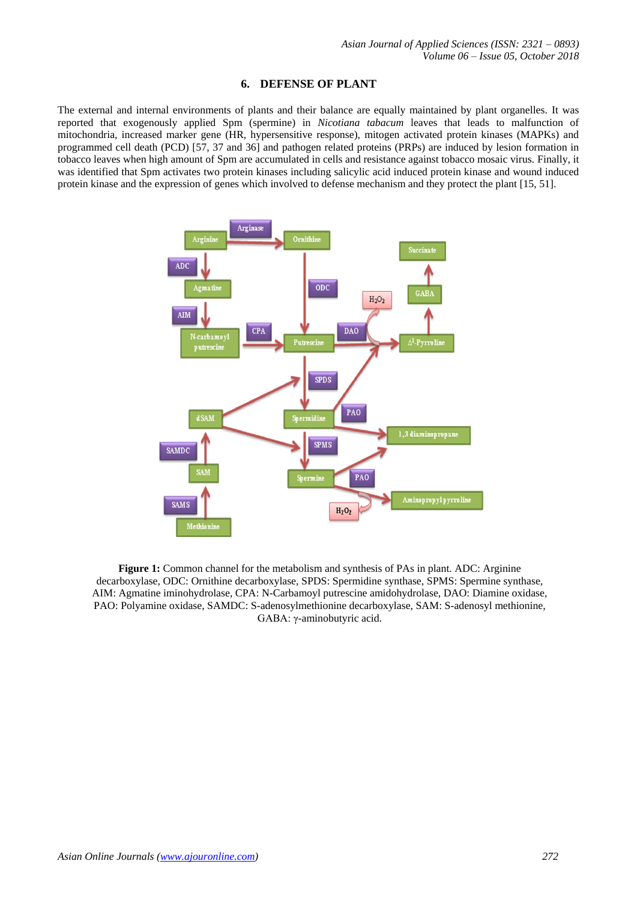## **6. DEFENSE OF PLANT**

The external and internal environments of plants and their balance are equally maintained by plant organelles. It was reported that exogenously applied Spm (spermine) in *Nicotiana tabacum* leaves that leads to malfunction of mitochondria, increased marker gene (HR, hypersensitive response), mitogen activated protein kinases (MAPKs) and programmed cell death (PCD) [57, 37 and 36] and pathogen related proteins (PRPs) are induced by lesion formation in tobacco leaves when high amount of Spm are accumulated in cells and resistance against tobacco mosaic virus. Finally, it was identified that Spm activates two protein kinases including salicylic acid induced protein kinase and wound induced protein kinase and the expression of genes which involved to defense mechanism and they protect the plant [15, 51].



**Figure 1:** Common channel for the metabolism and synthesis of PAs in plant. ADC: Arginine decarboxylase, ODC: Ornithine decarboxylase, SPDS: Spermidine synthase, SPMS: Spermine synthase, AIM: Agmatine iminohydrolase, CPA: N-Carbamoyl putrescine amidohydrolase, DAO: Diamine oxidase, PAO: Polyamine oxidase, SAMDC: S-adenosylmethionine decarboxylase, SAM: S-adenosyl methionine, GABA: γ-aminobutyric acid.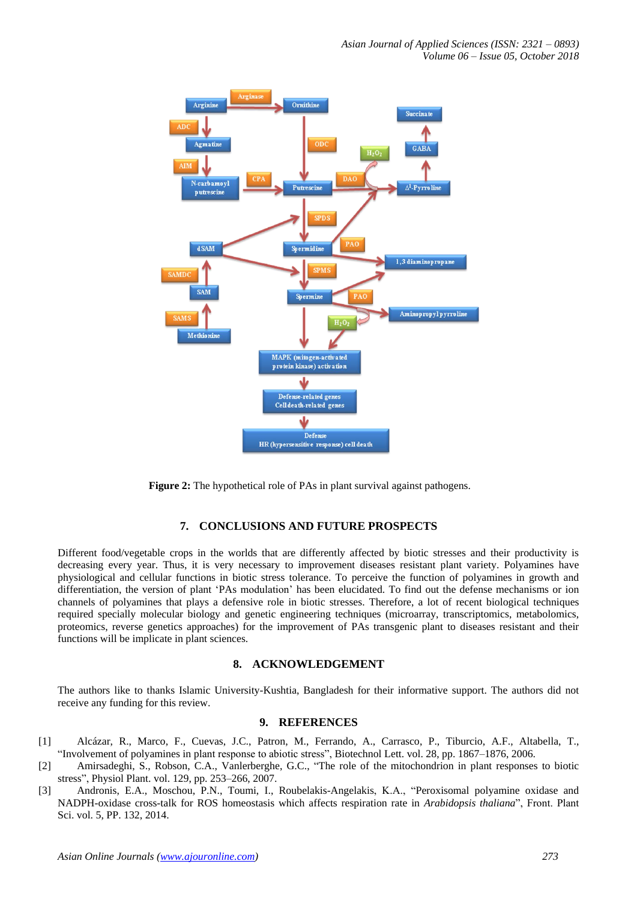

**Figure 2:** The hypothetical role of PAs in plant survival against pathogens.

## **7. CONCLUSIONS AND FUTURE PROSPECTS**

Different food/vegetable crops in the worlds that are differently affected by biotic stresses and their productivity is decreasing every year. Thus, it is very necessary to improvement diseases resistant plant variety. Polyamines have physiological and cellular functions in biotic stress tolerance. To perceive the function of polyamines in growth and differentiation, the version of plant 'PAs modulation' has been elucidated. To find out the defense mechanisms or ion channels of polyamines that plays a defensive role in biotic stresses. Therefore, a lot of recent biological techniques required specially molecular biology and genetic engineering techniques (microarray, transcriptomics, metabolomics, proteomics, reverse genetics approaches) for the improvement of PAs transgenic plant to diseases resistant and their functions will be implicate in plant sciences.

#### **8. ACKNOWLEDGEMENT**

The authors like to thanks Islamic University-Kushtia, Bangladesh for their informative support. The authors did not receive any funding for this review.

#### **9. REFERENCES**

- [1] Alcázar, R., Marco, F., Cuevas, J.C., Patron, M., Ferrando, A., Carrasco, P., Tiburcio, A.F., Altabella, T., "Involvement of polyamines in plant response to abiotic stress", Biotechnol Lett. vol. 28, pp. 1867–1876, 2006.
- [2] Amirsadeghi, S., Robson, C.A., Vanlerberghe, G.C., "The role of the mitochondrion in plant responses to biotic stress", Physiol Plant. vol. 129, pp. 253–266, 2007.
- [3] Andronis, E.A., Moschou, P.N., Toumi, I., Roubelakis-Angelakis, K.A., "Peroxisomal polyamine oxidase and NADPH-oxidase cross-talk for ROS homeostasis which affects respiration rate in *Arabidopsis thaliana*", Front. Plant Sci. vol. 5, PP. 132, 2014.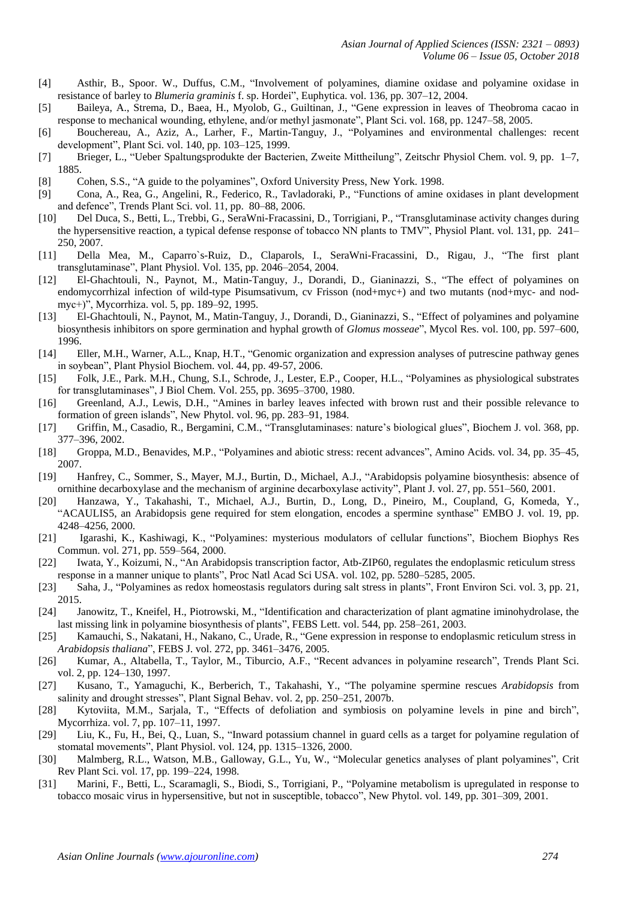- [4] Asthir, B., Spoor. W., Duffus, C.M., "Involvement of polyamines, diamine oxidase and polyamine oxidase in resistance of barley to *Blumeria graminis* f. sp. Hordei", Euphytica. vol. 136, pp. 307–12, 2004.
- [5] Baileya, A., Strema, D., Baea, H., Myolob, G., Guiltinan, J., "Gene expression in leaves of Theobroma cacao in response to mechanical wounding, ethylene, and/or methyl jasmonate", Plant Sci. vol. 168, pp. 1247–58, 2005.
- [6] Bouchereau, A., Aziz, A., Larher, F., Martin-Tanguy, J., "Polyamines and environmental challenges: recent development", Plant Sci. vol. 140, pp. 103–125, 1999.
- [7] Brieger, L., "Ueber Spaltungsprodukte der Bacterien, Zweite Mittheilung", Zeitschr Physiol Chem. vol. 9, pp. 1–7, 1885.
- [8] Cohen, S.S., "A guide to the polyamines", Oxford University Press, New York. 1998.
- [9] Cona, A., Rea, G., Angelini, R., Federico, R., Tavladoraki, P., "Functions of amine oxidases in plant development and defence", Trends Plant Sci. vol. 11, pp. 80–88, 2006.
- [10] Del Duca, S., Betti, L., Trebbi, G., SeraWni-Fracassini, D., Torrigiani, P., "Transglutaminase activity changes during the hypersensitive reaction, a typical defense response of tobacco NN plants to TMV", Physiol Plant. vol. 131, pp. 241– 250, 2007.
- [11] Della Mea, M., Caparro`s-Ruiz, D., Claparols, I., SeraWni-Fracassini, D., Rigau, J., "The first plant transglutaminase", Plant Physiol. Vol. 135, pp. 2046–2054, 2004.
- [12] El-Ghachtouli, N., Paynot, M., Matin-Tanguy, J., Dorandi, D., Gianinazzi, S., "The effect of polyamines on endomycorrhizal infection of wild-type Pisumsativum, cv Frisson (nod+myc+) and two mutants (nod+myc- and nodmyc+)", Mycorrhiza. vol. 5, pp. 189–92, 1995.
- [13] El-Ghachtouli, N., Paynot, M., Matin-Tanguy, J., Dorandi, D., Gianinazzi, S., "Effect of polyamines and polyamine biosynthesis inhibitors on spore germination and hyphal growth of *Glomus mosseae*", Mycol Res. vol. 100, pp. 597–600, 1996.
- [14] Eller, M.H., Warner, A.L., Knap, H.T., "Genomic organization and expression analyses of putrescine pathway genes in soybean", Plant Physiol Biochem. vol. 44, pp. 49-57, 2006.
- [15] Folk, J.E., Park. M.H., Chung, S.I., Schrode, J., Lester, E.P., Cooper, H.L., "Polyamines as physiological substrates for transglutaminases", J Biol Chem. Vol. 255, pp. 3695–3700, 1980.
- [16] Greenland, A.J., Lewis, D.H., "Amines in barley leaves infected with brown rust and their possible relevance to formation of green islands", New Phytol. vol. 96, pp. 283–91, 1984.
- [17] Griffin, M., Casadio, R., Bergamini, C.M., "Transglutaminases: nature's biological glues", Biochem J. vol. 368, pp. 377–396, 2002.
- [18] Groppa, M.D., Benavides, M.P., "Polyamines and abiotic stress: recent advances", Amino Acids. vol. 34, pp. 35–45, 2007.
- [19] Hanfrey, C., Sommer, S., Mayer, M.J., Burtin, D., Michael, A.J., "Arabidopsis polyamine biosynthesis: absence of ornithine decarboxylase and the mechanism of arginine decarboxylase activity", Plant J. vol. 27, pp. 551–560, 2001.
- [20] Hanzawa, Y., Takahashi, T., Michael, A.J., Burtin, D., Long, D., Pineiro, M., Coupland, G, Komeda, Y., "ACAULIS5, an Arabidopsis gene required for stem elongation, encodes a spermine synthase" EMBO J. vol. 19, pp. 4248–4256, 2000.
- [21] Igarashi, K., Kashiwagi, K., "Polyamines: mysterious modulators of cellular functions", Biochem Biophys Res Commun. vol. 271, pp. 559–564, 2000.
- [22] Iwata, Y., Koizumi, N., "An Arabidopsis transcription factor, Atb-ZIP60, regulates the endoplasmic reticulum stress response in a manner unique to plants", Proc Natl Acad Sci USA. vol. 102, pp. 5280–5285, 2005.
- [23] Saha, J., "Polyamines as redox homeostasis regulators during salt stress in plants", Front Environ Sci. vol. 3, pp. 21, 2015.
- [24] Janowitz, T., Kneifel, H., Piotrowski, M., "Identification and characterization of plant agmatine iminohydrolase, the last missing link in polyamine biosynthesis of plants", FEBS Lett. vol. 544, pp. 258–261, 2003.
- [25] Kamauchi, S., Nakatani, H., Nakano, C., Urade, R., "Gene expression in response to endoplasmic reticulum stress in *Arabidopsis thaliana*", FEBS J. vol. 272, pp. 3461–3476, 2005.
- [26] Kumar, A., Altabella, T., Taylor, M., Tiburcio, A.F., "Recent advances in polyamine research", Trends Plant Sci. vol. 2, pp. 124–130, 1997.
- [27] Kusano, T., Yamaguchi, K., Berberich, T., Takahashi, Y., "The polyamine spermine rescues *Arabidopsis* from salinity and drought stresses", Plant Signal Behav. vol. 2, pp. 250–251, 2007b.
- [28] Kytoviita, M.M., Sarjala, T., "Effects of defoliation and symbiosis on polyamine levels in pine and birch", Mycorrhiza. vol. 7, pp. 107–11, 1997.
- [29] Liu, K., Fu, H., Bei, Q., Luan, S., "Inward potassium channel in guard cells as a target for polyamine regulation of stomatal movements", Plant Physiol. vol. 124, pp. 1315–1326, 2000.
- [30] Malmberg, R.L., Watson, M.B., Galloway, G.L., Yu, W., "Molecular genetics analyses of plant polyamines", Crit Rev Plant Sci. vol. 17, pp. 199–224, 1998.
- [31] Marini, F., Betti, L., Scaramagli, S., Biodi, S., Torrigiani, P., "Polyamine metabolism is upregulated in response to tobacco mosaic virus in hypersensitive, but not in susceptible, tobacco", New Phytol. vol. 149, pp. 301–309, 2001.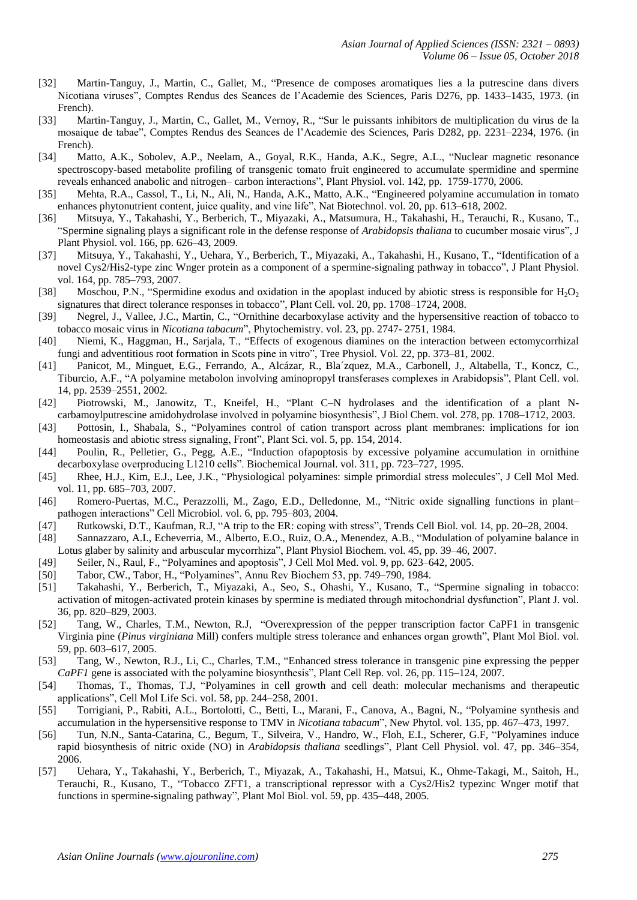- [32] Martin-Tanguy, J., Martin, C., Gallet, M., "Presence de composes aromatiques lies a la putrescine dans divers Nicotiana viruses", Comptes Rendus des Seances de l'Academie des Sciences, Paris D276, pp. 1433–1435, 1973. (in French).
- [33] Martin-Tanguy, J., Martin, C., Gallet, M., Vernoy, R., "Sur le puissants inhibitors de multiplication du virus de la mosaique de tabae", Comptes Rendus des Seances de l'Academie des Sciences, Paris D282, pp. 2231–2234, 1976. (in French).
- [34] Matto, A.K., Sobolev, A.P., Neelam, A., Goyal, R.K., Handa, A.K., Segre, A.L., "Nuclear magnetic resonance spectroscopy-based metabolite profiling of transgenic tomato fruit engineered to accumulate spermidine and spermine reveals enhanced anabolic and nitrogen– carbon interactions", Plant Physiol. vol. 142, pp. 1759-1770, 2006.
- [35] Mehta, R.A., Cassol, T., Li, N., Ali, N., Handa, A.K., Matto, A.K., "Engineered polyamine accumulation in tomato enhances phytonutrient content, juice quality, and vine life", Nat Biotechnol. vol. 20, pp. 613–618, 2002.
- [36] Mitsuya, Y., Takahashi, Y., Berberich, T., Miyazaki, A., Matsumura, H., Takahashi, H., Terauchi, R., Kusano, T., "Spermine signaling plays a significant role in the defense response of *Arabidopsis thaliana* to cucumber mosaic virus", J Plant Physiol. vol. 166, pp. 626–43, 2009.
- [37] Mitsuya, Y., Takahashi, Y., Uehara, Y., Berberich, T., Miyazaki, A., Takahashi, H., Kusano, T., "Identification of a novel Cys2/His2-type zinc Wnger protein as a component of a spermine-signaling pathway in tobacco", J Plant Physiol. vol. 164, pp. 785–793, 2007.
- [38] Moschou, P.N., "Spermidine exodus and oxidation in the apoplast induced by abiotic stress is responsible for  $H_2O_2$ signatures that direct tolerance responses in tobacco", Plant Cell. vol. 20, pp. 1708–1724, 2008.
- [39] Negrel, J., Vallee, J.C., Martin, C., "Ornithine decarboxylase activity and the hypersensitive reaction of tobacco to tobacco mosaic virus in *Nicotiana tabacum*", Phytochemistry. vol. 23, pp. 2747- 2751, 1984.
- [40] Niemi, K., Haggman, H., Sarjala, T., "Effects of exogenous diamines on the interaction between ectomycorrhizal fungi and adventitious root formation in Scots pine in vitro", Tree Physiol. Vol. 22, pp. 373–81, 2002.
- [41] Panicot, M., Minguet, E.G., Ferrando, A., Alcázar, R., Bla´zquez, M.A., Carbonell, J., Altabella, T., Koncz, C., Tiburcio, A.F., "A polyamine metabolon involving aminopropyl transferases complexes in Arabidopsis", Plant Cell. vol. 14, pp. 2539–2551, 2002.
- [42] Piotrowski, M., Janowitz, T., Kneifel, H., "Plant C–N hydrolases and the identification of a plant Ncarbamoylputrescine amidohydrolase involved in polyamine biosynthesis", J Biol Chem. vol. 278, pp. 1708–1712, 2003.
- [43] Pottosin, I., Shabala, S., "Polyamines control of cation transport across plant membranes: implications for ion homeostasis and abiotic stress signaling, Front", Plant Sci. vol. 5, pp. 154, 2014.
- [44] Poulin, R., Pelletier, G., Pegg, A.E., "Induction ofapoptosis by excessive polyamine accumulation in ornithine decarboxylase overproducing L1210 cells". Biochemical Journal. vol. 311, pp. 723–727, 1995.
- [45] Rhee, H.J., Kim, E.J., Lee, J.K., "Physiological polyamines: simple primordial stress molecules", J Cell Mol Med. vol. 11, pp. 685–703, 2007.
- [46] Romero-Puertas, M.C., Perazzolli, M., Zago, E.D., Delledonne, M., "Nitric oxide signalling functions in plant– pathogen interactions" Cell Microbiol. vol. 6, pp. 795–803, 2004.
- [47] Rutkowski, D.T., Kaufman, R.J, "A trip to the ER: coping with stress", Trends Cell Biol. vol. 14, pp. 20–28, 2004.
- [48] Sannazzaro, A.I., Echeverria, M., Alberto, E.O., Ruiz, O.A., Menendez, A.B., "Modulation of polyamine balance in Lotus glaber by salinity and arbuscular mycorrhiza", Plant Physiol Biochem. vol. 45, pp. 39–46, 2007.
- [49] Seiler, N., Raul, F., "Polyamines and apoptosis", J Cell Mol Med. vol. 9, pp. 623–642, 2005.
- [50] Tabor, CW., Tabor, H., "Polyamines", Annu Rev Biochem 53, pp. 749–790, 1984.
- [51] Takahashi, Y., Berberich, T., Miyazaki, A., Seo, S., Ohashi, Y., Kusano, T., "Spermine signaling in tobacco: activation of mitogen-activated protein kinases by spermine is mediated through mitochondrial dysfunction", Plant J. vol. 36, pp. 820–829, 2003.
- [52] Tang, W., Charles, T.M., Newton, R.J, "Overexpression of the pepper transcription factor CaPF1 in transgenic Virginia pine (*Pinus virginiana* Mill) confers multiple stress tolerance and enhances organ growth", Plant Mol Biol. vol. 59, pp. 603–617, 2005.
- [53] Tang, W., Newton, R.J., Li, C., Charles, T.M., "Enhanced stress tolerance in transgenic pine expressing the pepper *CaPF1* gene is associated with the polyamine biosynthesis", Plant Cell Rep. vol. 26, pp. 115–124, 2007.
- [54] Thomas, T., Thomas, T.J, "Polyamines in cell growth and cell death: molecular mechanisms and therapeutic applications", Cell Mol Life Sci. vol. 58, pp. 244–258, 2001.
- [55] Torrigiani, P., Rabiti, A.L., Bortolotti, C., Betti, L., Marani, F., Canova, A., Bagni, N., "Polyamine synthesis and accumulation in the hypersensitive response to TMV in *Nicotiana tabacum*", New Phytol. vol. 135, pp. 467–473, 1997.
- [56] Tun, N.N., Santa-Catarina, C., Begum, T., Silveira, V., Handro, W., Floh, E.I., Scherer, G.F, "Polyamines induce rapid biosynthesis of nitric oxide (NO) in *Arabidopsis thaliana* seedlings", Plant Cell Physiol. vol. 47, pp. 346–354, 2006.
- [57] Uehara, Y., Takahashi, Y., Berberich, T., Miyazak, A., Takahashi, H., Matsui, K., Ohme-Takagi, M., Saitoh, H., Terauchi, R., Kusano, T., "Tobacco ZFT1, a transcriptional repressor with a Cys2/His2 typezinc Wnger motif that functions in spermine-signaling pathway", Plant Mol Biol. vol. 59, pp. 435–448, 2005.